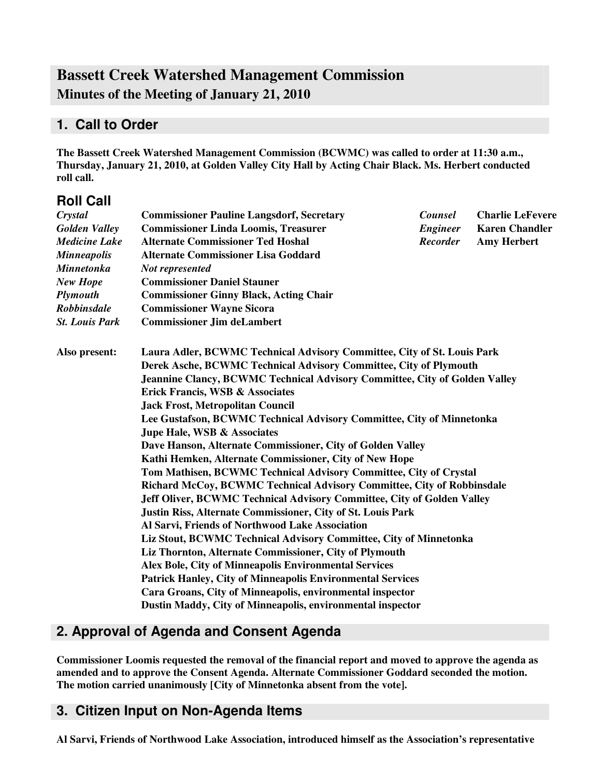# **Bassett Creek Watershed Management Commission Minutes of the Meeting of January 21, 2010**

## **1. Call to Order**

**The Bassett Creek Watershed Management Commission (BCWMC) was called to order at 11:30 a.m., Thursday, January 21, 2010, at Golden Valley City Hall by Acting Chair Black. Ms. Herbert conducted roll call.**

## **Roll Call**

| Crystal               | <b>Commissioner Pauline Langsdorf, Secretary</b>                                  | Counsel         | <b>Charlie LeFevere</b> |  |  |  |
|-----------------------|-----------------------------------------------------------------------------------|-----------------|-------------------------|--|--|--|
| <b>Golden Valley</b>  | <b>Commissioner Linda Loomis, Treasurer</b>                                       | <b>Engineer</b> | <b>Karen Chandler</b>   |  |  |  |
| <b>Medicine Lake</b>  | <b>Alternate Commissioner Ted Hoshal</b>                                          | <b>Recorder</b> | <b>Amy Herbert</b>      |  |  |  |
| <b>Minneapolis</b>    | <b>Alternate Commissioner Lisa Goddard</b>                                        |                 |                         |  |  |  |
| <b>Minnetonka</b>     | Not represented                                                                   |                 |                         |  |  |  |
| <b>New Hope</b>       | <b>Commissioner Daniel Stauner</b>                                                |                 |                         |  |  |  |
| Plymouth              | <b>Commissioner Ginny Black, Acting Chair</b>                                     |                 |                         |  |  |  |
| <b>Robbinsdale</b>    | <b>Commissioner Wayne Sicora</b>                                                  |                 |                         |  |  |  |
| <b>St. Louis Park</b> | <b>Commissioner Jim deLambert</b>                                                 |                 |                         |  |  |  |
| Also present:         | Laura Adler, BCWMC Technical Advisory Committee, City of St. Louis Park           |                 |                         |  |  |  |
|                       | Derek Asche, BCWMC Technical Advisory Committee, City of Plymouth                 |                 |                         |  |  |  |
|                       | <b>Jeannine Clancy, BCWMC Technical Advisory Committee, City of Golden Valley</b> |                 |                         |  |  |  |
|                       | <b>Erick Francis, WSB &amp; Associates</b>                                        |                 |                         |  |  |  |
|                       | <b>Jack Frost, Metropolitan Council</b>                                           |                 |                         |  |  |  |
|                       | Lee Gustafson, BCWMC Technical Advisory Committee, City of Minnetonka             |                 |                         |  |  |  |
|                       | Jupe Hale, WSB & Associates                                                       |                 |                         |  |  |  |
|                       | Dave Hanson, Alternate Commissioner, City of Golden Valley                        |                 |                         |  |  |  |
|                       | Kathi Hemken, Alternate Commissioner, City of New Hope                            |                 |                         |  |  |  |
|                       | Tom Mathisen, BCWMC Technical Advisory Committee, City of Crystal                 |                 |                         |  |  |  |
|                       | Richard McCoy, BCWMC Technical Advisory Committee, City of Robbinsdale            |                 |                         |  |  |  |
|                       | Jeff Oliver, BCWMC Technical Advisory Committee, City of Golden Valley            |                 |                         |  |  |  |
|                       | <b>Justin Riss, Alternate Commissioner, City of St. Louis Park</b>                |                 |                         |  |  |  |
|                       | Al Sarvi, Friends of Northwood Lake Association                                   |                 |                         |  |  |  |
|                       | Liz Stout, BCWMC Technical Advisory Committee, City of Minnetonka                 |                 |                         |  |  |  |
|                       | Liz Thornton, Alternate Commissioner, City of Plymouth                            |                 |                         |  |  |  |
|                       | Alex Bole, City of Minneapolis Environmental Services                             |                 |                         |  |  |  |
|                       | <b>Patrick Hanley, City of Minneapolis Environmental Services</b>                 |                 |                         |  |  |  |
|                       | Cara Groans, City of Minneapolis, environmental inspector                         |                 |                         |  |  |  |
|                       | Dustin Maddy, City of Minneapolis, environmental inspector                        |                 |                         |  |  |  |

# **2. Approval of Agenda and Consent Agenda**

**Commissioner Loomis requested the removal of the financial report and moved to approve the agenda as amended and to approve the Consent Agenda. Alternate Commissioner Goddard seconded the motion. The motion carried unanimously [City of Minnetonka absent from the vote].**

### **3. Citizen Input on Non-Agenda Items**

**Al Sarvi, Friends of Northwood Lake Association, introduced himself as the Association's representative**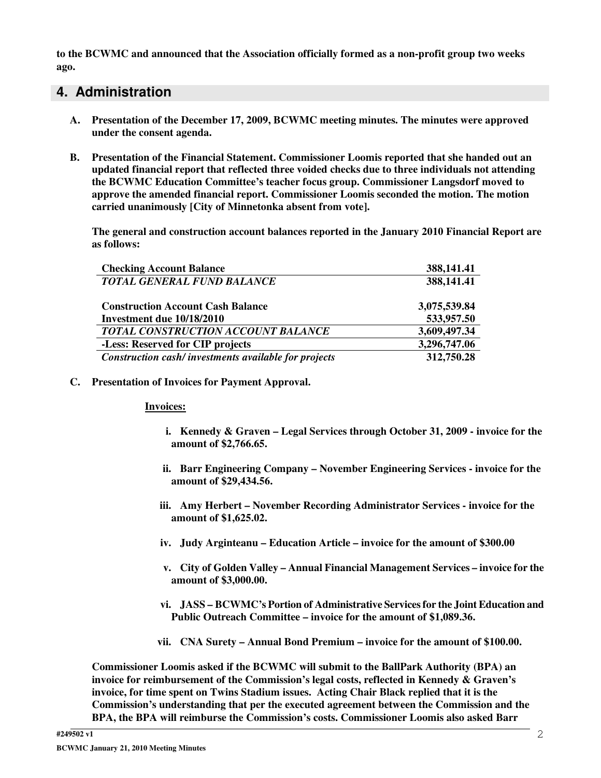**to the BCWMC and announced that the Association officially formed as a non-profit group two weeks ago.**

### **4. Administration**

- **A. Presentation of the December 17, 2009, BCWMC meeting minutes. The minutes were approved under the consent agenda.**
- **B. Presentation of the Financial Statement. Commissioner Loomis reported that she handed out an updated financial report that reflected three voided checks due to three individuals not attending the BCWMC Education Committee's teacher focus group. Commissioner Langsdorf moved to approve the amended financial report. Commissioner Loomis seconded the motion. The motion carried unanimously [City of Minnetonka absent from vote].**

**The general and construction account balances reported in the January 2010 Financial Report are as follows:**

| <b>Checking Account Balance</b>                      | 388,141.41   |
|------------------------------------------------------|--------------|
| <b>TOTAL GENERAL FUND BALANCE</b>                    | 388,141.41   |
|                                                      |              |
| <b>Construction Account Cash Balance</b>             | 3,075,539.84 |
| Investment due 10/18/2010                            | 533,957.50   |
| TOTAL CONSTRUCTION ACCOUNT BALANCE                   | 3,609,497.34 |
| -Less: Reserved for CIP projects                     | 3,296,747.06 |
| Construction cash/investments available for projects | 312,750.28   |

### **C. Presentation of Invoices for Payment Approval.**

#### **Invoices:**

- **i. Kennedy & Graven – Legal Services through October 31, 2009 - invoice for the amount of \$2,766.65.**
- **ii. Barr Engineering Company – November Engineering Services - invoice for the amount of \$29,434.56.**
- **iii. Amy Herbert – November Recording Administrator Services - invoice for the amount of \$1,625.02.**
- **iv. Judy Arginteanu – Education Article – invoice for the amount of \$300.00**
- **v. City of Golden Valley – Annual Financial Management Services – invoice for the amount of \$3,000.00.**
- **vi. JASS – BCWMC's Portion of Administrative Servicesfor the Joint Education and Public Outreach Committee – invoice for the amount of \$1,089.36.**
- **vii. CNA Surety – Annual Bond Premium – invoice for the amount of \$100.00.**

**Commissioner Loomis asked if the BCWMC will submit to the BallPark Authority (BPA) an invoice for reimbursement of the Commission's legal costs, reflected in Kennedy & Graven's invoice, for time spent on Twins Stadium issues. Acting Chair Black replied that it is the Commission's understanding that per the executed agreement between the Commission and the BPA, the BPA will reimburse the Commission's costs. Commissioner Loomis also asked Barr**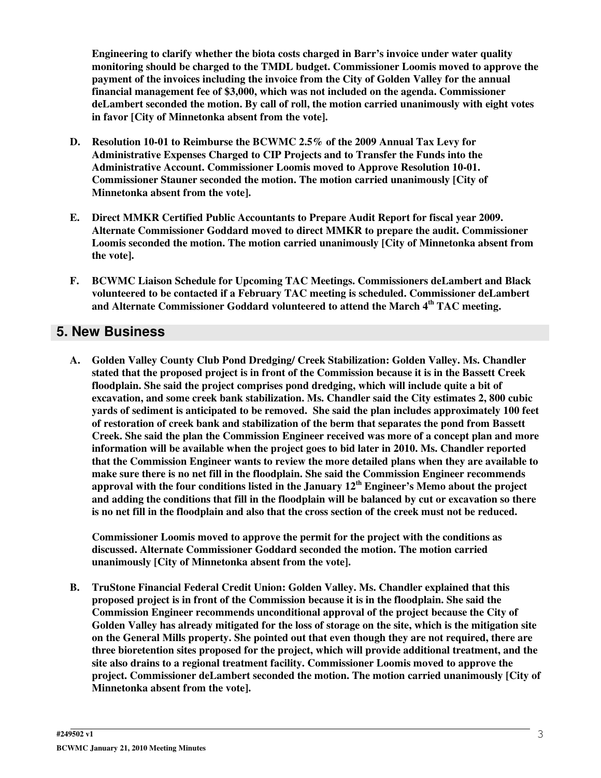**Engineering to clarify whether the biota costs charged in Barr's invoice under water quality monitoring should be charged to the TMDL budget. Commissioner Loomis moved to approve the payment of the invoices including the invoice from the City of Golden Valley for the annual financial management fee of \$3,000, which was not included on the agenda. Commissioner deLambert seconded the motion. By call of roll, the motion carried unanimously with eight votes in favor [City of Minnetonka absent from the vote].**

- **D. Resolution 10-01 to Reimburse the BCWMC 2.5% of the 2009 Annual Tax Levy for Administrative Expenses Charged to CIP Projects and to Transfer the Funds into the Administrative Account. Commissioner Loomis moved to Approve Resolution 10-01. Commissioner Stauner seconded the motion. The motion carried unanimously [City of Minnetonka absent from the vote].**
- **E. Direct MMKR Certified Public Accountants to Prepare Audit Report for fiscal year 2009. Alternate Commissioner Goddard moved to direct MMKR to prepare the audit. Commissioner Loomis seconded the motion. The motion carried unanimously [City of Minnetonka absent from the vote].**
- **F. BCWMC Liaison Schedule for Upcoming TAC Meetings. Commissioners deLambert and Black volunteered to be contacted if a February TAC meeting is scheduled. Commissioner deLambert and Alternate Commissioner Goddard volunteered to attend the March 4 th TAC meeting.**

## **5. New Business**

**A. Golden Valley County Club Pond Dredging/ Creek Stabilization: Golden Valley. Ms. Chandler stated that the proposed project is in front of the Commission because it is in the Bassett Creek floodplain. She said the project comprises pond dredging, which will include quite a bit of excavation, and some creek bank stabilization. Ms. Chandler said the City estimates 2, 800 cubic yards of sediment is anticipated to be removed. She said the plan includes approximately 100 feet of restoration of creek bank and stabilization of the berm that separates the pond from Bassett Creek. She said the plan the Commission Engineer received was more of a concept plan and more information will be available when the project goes to bid later in 2010. Ms. Chandler reported that the Commission Engineer wants to review the more detailed plans when they are available to make sure there is no net fill in the floodplain. She said the Commission Engineer recommends approval with the four conditions listed in the January 12 th Engineer's Memo about the project** and adding the conditions that fill in the floodplain will be balanced by cut or excavation so there is no net fill in the floodplain and also that the cross section of the creek must not be reduced.

**Commissioner Loomis moved to approve the permit for the project with the conditions as discussed. Alternate Commissioner Goddard seconded the motion. The motion carried unanimously [City of Minnetonka absent from the vote].**

**B. TruStone Financial Federal Credit Union: Golden Valley. Ms. Chandler explained that this proposed project is in front of the Commission because it is in the floodplain. She said the Commission Engineer recommends unconditional approval of the project because the City of** Golden Valley has already mitigated for the loss of storage on the site, which is the mitigation site **on the General Mills property. She pointed out that even though they are not required, there are three bioretention sites proposed for the project, which will provide additional treatment, and the site also drains to a regional treatment facility. Commissioner Loomis moved to approve the project. Commissioner deLambert seconded the motion. The motion carried unanimously [City of Minnetonka absent from the vote].**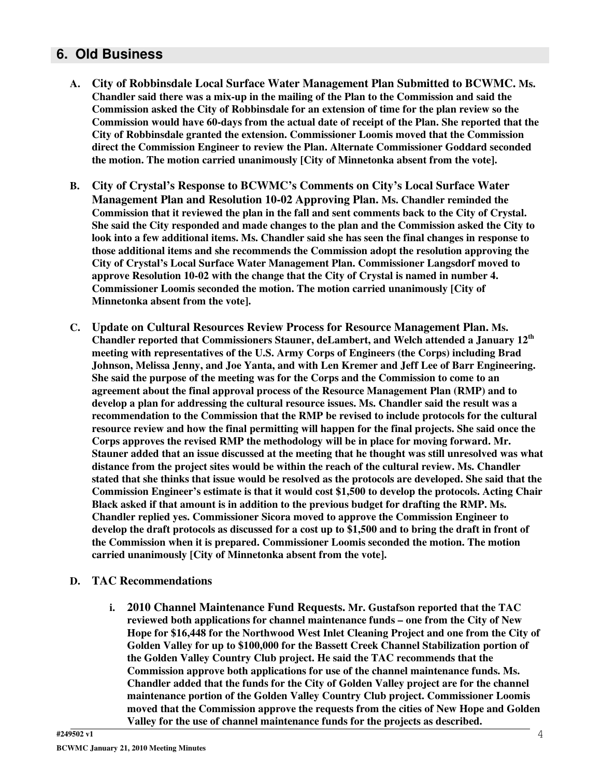### **6. Old Business**

- **A. City of Robbinsdale Local Surface Water Management Plan Submitted to BCWMC. Ms. Chandler said there was a mix-up in the mailing of the Plan to the Commission and said the Commission asked the City of Robbinsdale for an extension of time for the plan review so the Commission would have 60-days from the actual date of receipt of the Plan. She reported that the City of Robbinsdale granted the extension. Commissioner Loomis moved that the Commission direct the Commission Engineer to review the Plan. Alternate Commissioner Goddard seconded the motion. The motion carried unanimously [City of Minnetonka absent from the vote].**
- **B. City of Crystal's Response to BCWMC's Comments on City's Local Surface Water Management Plan and Resolution 10-02 Approving Plan. Ms. Chandler reminded the Commission that it reviewed the plan in the fall and sent comments back to the City of Crystal. She said the City responded and made changes to the plan and the Commission asked the City to look into a few additional items. Ms. Chandler said she has seen the final changes in response to those additional items and she recommends the Commission adopt the resolution approving the City of Crystal's Local Surface Water Management Plan. Commissioner Langsdorf moved to approve Resolution 10-02 with the change that the City of Crystal is named in number 4. Commissioner Loomis seconded the motion. The motion carried unanimously [City of Minnetonka absent from the vote].**
- **C. Update on Cultural Resources Review Process for Resource Management Plan. Ms. Chandler reported that Commissioners Stauner, deLambert, and Welch attended a January 12 th meeting with representatives of the U.S. Army Corps of Engineers (the Corps) including Brad Johnson, Melissa Jenny, and Joe Yanta, and with Len Kremer and Jeff Lee of Barr Engineering. She said the purpose of the meeting was for the Corps and the Commission to come to an agreement about the final approval process of the Resource Management Plan (RMP) and to develop a plan for addressing the cultural resource issues. Ms. Chandler said the result was a recommendation to the Commission that the RMP be revised to include protocols for the cultural resource review and how the final permitting will happen for the final projects. She said once the Corps approves the revised RMP the methodology will be in place for moving forward. Mr. Stauner added that an issue discussed at the meeting that he thought was still unresolved was what distance from the project sites would be within the reach of the cultural review. Ms. Chandler** stated that she thinks that issue would be resolved as the protocols are developed. She said that the **Commission Engineer's estimate is that it would cost \$1,500 to develop the protocols. Acting Chair Black asked if that amount is in addition to the previous budget for drafting the RMP. Ms. Chandler replied yes. Commissioner Sicora moved to approve the Commission Engineer to** develop the draft protocols as discussed for a cost up to \$1,500 and to bring the draft in front of **the Commission when it is prepared. Commissioner Loomis seconded the motion. The motion carried unanimously [City of Minnetonka absent from the vote].**
- **D. TAC Recommendations**
	- **i. 2010 Channel Maintenance Fund Requests. Mr. Gustafson reported that the TAC reviewed both applications for channel maintenance funds – one from the City of New Hope for \$16,448 for the Northwood West Inlet Cleaning Project and one from the City of Golden Valley for up to \$100,000 for the Bassett Creek Channel Stabilization portion of the Golden Valley Country Club project. He said the TAC recommends that the Commission approve both applications for use of the channel maintenance funds. Ms. Chandler added that the funds for the City of Golden Valley project are for the channel maintenance portion of the Golden Valley Country Club project. Commissioner Loomis moved that the Commission approve the requests from the cities of New Hope and Golden Valley for the use of channel maintenance funds for the projects as described.**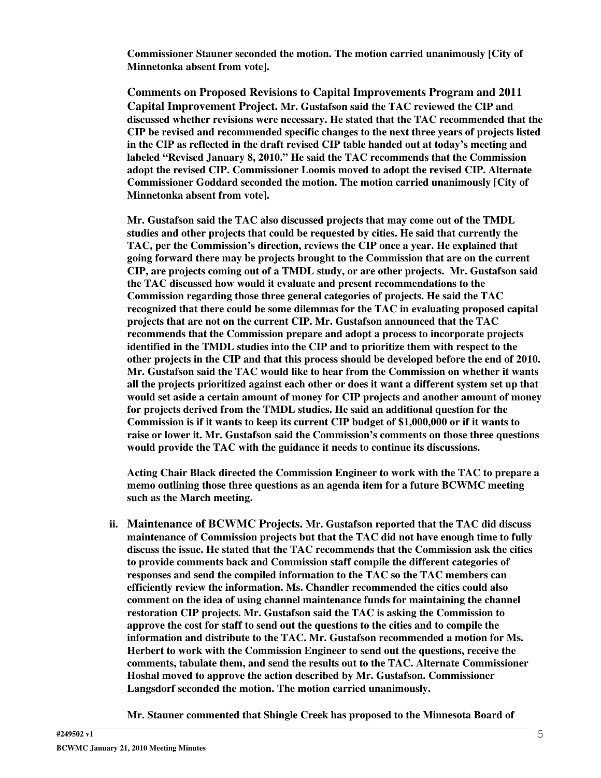**Commissioner Stauner seconded the motion. The motion carried unanimously [City of Minnetonka absent from vote].**

**Comments on Proposed Revisions to Capital Improvements Program and 2011 Capital Improvement Project. Mr. Gustafson said the TAC reviewed the CIP and discussed whether revisions were necessary. He stated that the TAC recommended that the CIP be revised and recommended specific changes to the next three years of projects listed in the CIP as reflected in the draft revised CIP table handed out at today's meeting and labeled "Revised January 8, 2010." He said the TAC recommends that the Commission adopt the revised CIP. Commissioner Loomis moved to adopt the revised CIP. Alternate Commissioner Goddard seconded the motion. The motion carried unanimously [City of Minnetonka absent from vote].**

**Mr. Gustafson said the TAC also discussed projects that may come out of the TMDL studies and other projects that could be requested by cities. He said that currently the TAC, per the Commission's direction, reviews the CIP once a year. He explained that going forward there may be projects brought to the Commission that are on the current CIP, are projects coming out of a TMDL study, or are other projects. Mr. Gustafson said the TAC discussed how would it evaluate and present recommendations to the Commission regarding those three general categories of projects. He said the TAC recognized that there could be some dilemmas for the TAC in evaluating proposed capital projects that are not on the current CIP. Mr. Gustafson announced that the TAC recommends that the Commission prepare and adopt a process to incorporate projects identified in the TMDL studies into the CIP and to prioritize them with respect to the other projects in the CIP and that this process should be developed before the end of 2010. Mr. Gustafson said the TAC would like to hear from the Commission on whether it wants all the projects prioritized against each other or does it want a different system set up that would set aside a certain amount of money for CIP projects and another amount of money for projects derived from the TMDL studies. He said an additional question for the Commission is if it wants to keep its current CIP budget of \$1,000,000 or if it wants to raise or lower it. Mr. Gustafson said the Commission's comments on those three questions would provide the TAC with the guidance it needs to continue its discussions.**

**Acting Chair Black directed the Commission Engineer to work with the TAC to prepare a memo outlining those three questions as an agenda item for a future BCWMC meeting such as the March meeting.**

**ii. Maintenance of BCWMC Projects. Mr. Gustafson reported that the TAC did discuss maintenance of Commission projects but that the TAC did not have enough time to fully discuss the issue. He stated that the TAC recommends that the Commission ask the cities to provide comments back and Commission staff compile the different categories of responses and send the compiled information to the TAC so the TAC members can efficiently review the information. Ms. Chandler recommended the cities could also comment on the idea of using channel maintenance funds for maintaining the channel restoration CIP projects. Mr. Gustafson said the TAC is asking the Commission to approve the cost for staff to send out the questions to the cities and to compile the information and distribute to the TAC. Mr. Gustafson recommended a motion for Ms. Herbert to work with the Commission Engineer to send out the questions, receive the comments, tabulate them, and send the results out to the TAC. Alternate Commissioner Hoshal moved to approve the action described by Mr. Gustafson. Commissioner Langsdorf seconded the motion. The motion carried unanimously.**

**Mr. Stauner commented that Shingle Creek has proposed to the Minnesota Board of**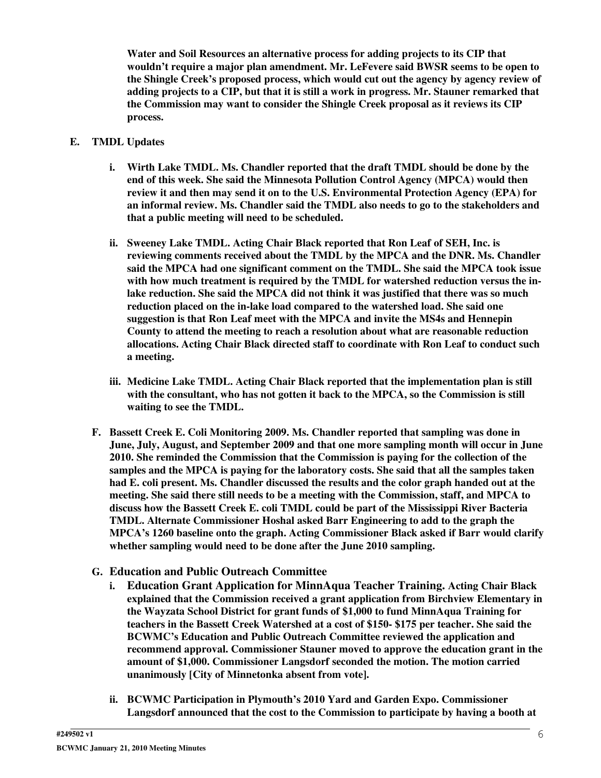**Water and Soil Resources an alternative process for adding projects to its CIP that wouldn't require a major plan amendment. Mr. LeFevere said BWSR seems to be open to the Shingle Creek's proposed process, which would cut out the agency by agency review of adding projects to a CIP, but that it is still a work in progress. Mr. Stauner remarked that the Commission may want to consider the Shingle Creek proposal as it reviews its CIP process.**

### **E. TMDL Updates**

- **i. Wirth Lake TMDL. Ms. Chandler reported that the draft TMDL should be done by the end of this week. She said the Minnesota Pollution Control Agency (MPCA) would then review it and then may send it on to the U.S. Environmental Protection Agency (EPA) for an informal review. Ms. Chandler said the TMDL also needs to go to the stakeholders and that a public meeting will need to be scheduled.**
- **ii. Sweeney Lake TMDL. Acting Chair Black reported that Ron Leaf of SEH, Inc. is reviewing comments received about the TMDL by the MPCA and the DNR. Ms. Chandler said the MPCA had one significant comment on the TMDL. She said the MPCA took issue with how much treatment is required by the TMDL for watershed reduction versus the inlake reduction. She said the MPCA did not think it was justified that there was so much reduction placed on the in-lake load compared to the watershed load. She said one suggestion is that Ron Leaf meet with the MPCA and invite the MS4s and Hennepin County to attend the meeting to reach a resolution about what are reasonable reduction allocations. Acting Chair Black directed staff to coordinate with Ron Leaf to conduct such a meeting.**
- **iii. Medicine Lake TMDL. Acting Chair Black reported that the implementation plan is still with the consultant, who has not gotten it back to the MPCA, so the Commission is still waiting to see the TMDL.**
- **F. Bassett Creek E. Coli Monitoring 2009. Ms. Chandler reported that sampling was done in June, July, August, and September 2009 and that one more sampling month will occur in June 2010. She reminded the Commission that the Commission is paying for the collection of the samples and the MPCA is paying for the laboratory costs. She said that all the samples taken had E. coli present. Ms. Chandler discussed the results and the color graph handed out at the meeting. She said there still needs to be a meeting with the Commission, staff, and MPCA to discuss how the Bassett Creek E. coli TMDL could be part of the Mississippi River Bacteria TMDL. Alternate Commissioner Hoshal asked Barr Engineering to add to the graph the MPCA's 1260 baseline onto the graph. Acting Commissioner Black asked if Barr would clarify whether sampling would need to be done after the June 2010 sampling.**
- **G. Education and Public Outreach Committee**
	- **i. Education Grant Application for MinnAqua Teacher Training. Acting Chair Black explained that the Commission received a grant application from Birchview Elementary in the Wayzata School District for grant funds of \$1,000 to fund MinnAqua Training for teachers in the Bassett Creek Watershed at a cost of \$150- \$175 per teacher. She said the BCWMC's Education and Public Outreach Committee reviewed the application and recommend approval. Commissioner Stauner moved to approve the education grant in the amount of \$1,000. Commissioner Langsdorf seconded the motion. The motion carried unanimously [City of Minnetonka absent from vote].**
	- **ii. BCWMC Participation in Plymouth's 2010 Yard and Garden Expo. Commissioner Langsdorf announced that the cost to the Commission to participate by having a booth at**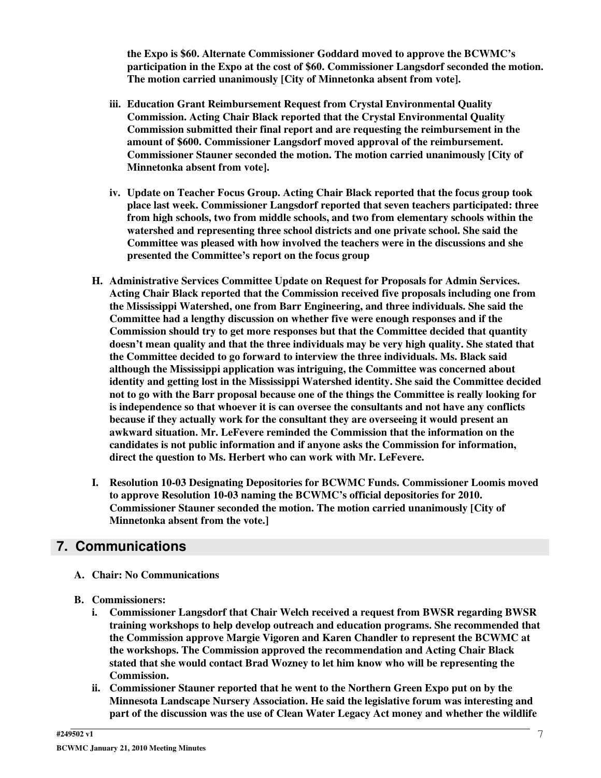**the Expo is \$60. Alternate Commissioner Goddard moved to approve the BCWMC's participation in the Expo at the cost of \$60. Commissioner Langsdorf seconded the motion. The motion carried unanimously [City of Minnetonka absent from vote].**

- **iii. Education Grant Reimbursement Request from Crystal Environmental Quality Commission. Acting Chair Black reported that the Crystal Environmental Quality Commission submitted their final report and are requesting the reimbursement in the amount of \$600. Commissioner Langsdorf moved approval of the reimbursement. Commissioner Stauner seconded the motion. The motion carried unanimously [City of Minnetonka absent from vote].**
- **iv. Update on Teacher Focus Group. Acting Chair Black reported that the focus group took place last week. Commissioner Langsdorf reported that seven teachers participated: three from high schools, two from middle schools, and two from elementary schools within the watershed and representing three school districts and one private school. She said the Committee was pleased with how involved the teachers were in the discussions and she presented the Committee's report on the focus group**
- **H. Administrative Services Committee Update on Request for Proposals for Admin Services. Acting Chair Black reported that the Commission received five proposals including one from the Mississippi Watershed, one from Barr Engineering, and three individuals. She said the Committee had a lengthy discussion on whether five were enough responses and if the Commission should try to get more responses but that the Committee decided that quantity doesn't mean quality and that the three individuals may be very high quality. She stated that the Committee decided to go forward to interview the three individuals. Ms. Black said although the Mississippi application was intriguing, the Committee was concerned about identity and getting lost in the Mississippi Watershed identity. She said the Committee decided not to go with the Barr proposal because one of the things the Committee is really looking for is independence so that whoever it is can oversee the consultants and not have any conflicts because if they actually work for the consultant they are overseeing it would present an awkward situation. Mr. LeFevere reminded the Commission that the information on the candidates is not public information and if anyone asks the Commission for information, direct the question to Ms. Herbert who can work with Mr. LeFevere.**
- **I. Resolution 10-03 Designating Depositories for BCWMC Funds. Commissioner Loomis moved to approve Resolution 10-03 naming the BCWMC's official depositories for 2010. Commissioner Stauner seconded the motion. The motion carried unanimously [City of Minnetonka absent from the vote.]**

### **7. Communications**

- **A. Chair: No Communications**
- **B. Commissioners:**
	- **i. Commissioner Langsdorf that Chair Welch received a request from BWSR regarding BWSR training workshops to help develop outreach and education programs. She recommended that the Commission approve Margie Vigoren and Karen Chandler to represent the BCWMC at the workshops. The Commission approved the recommendation and Acting Chair Black stated that she would contact Brad Wozney to let him know who will be representing the Commission.**
	- **ii. Commissioner Stauner reported that he went to the Northern Green Expo put on by the Minnesota Landscape Nursery Association. He said the legislative forum was interesting and part of the discussion was the use of Clean Water Legacy Act money and whether the wildlife**